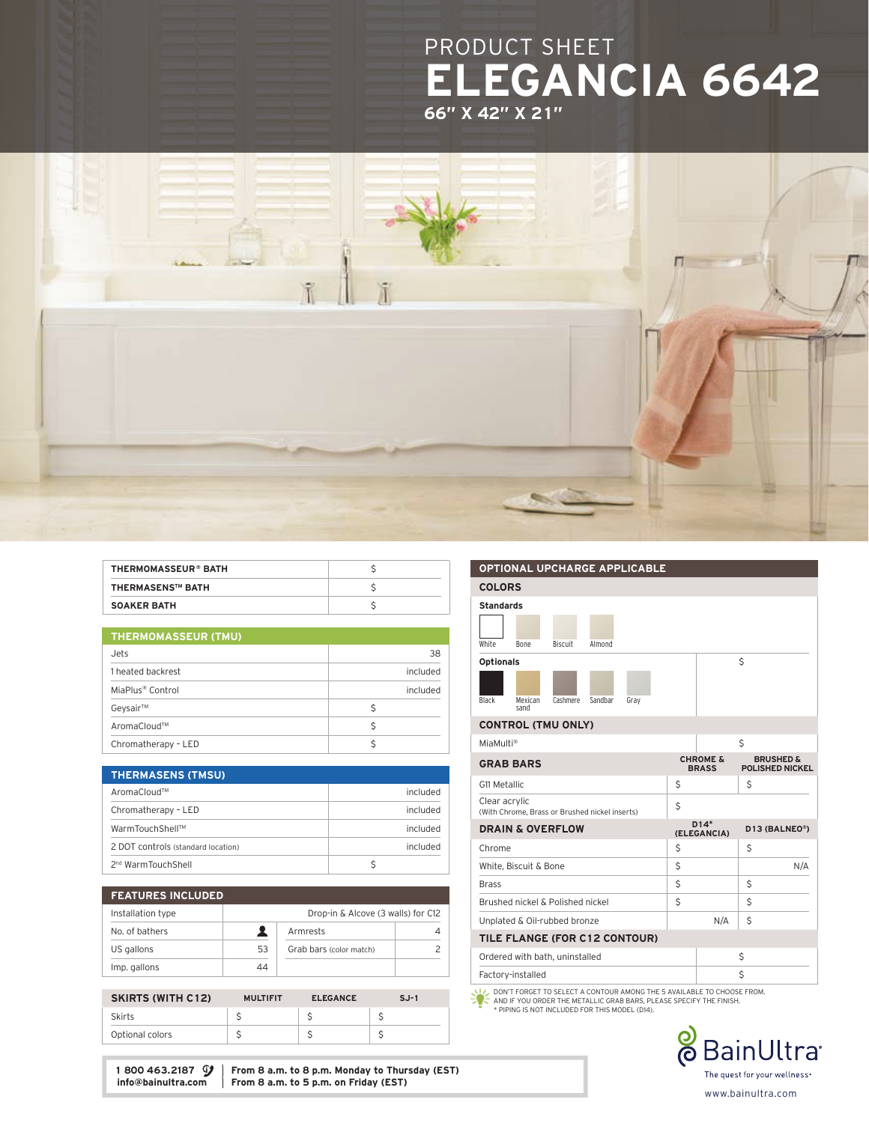



| <b>THERMOMASSEUR® BATH</b> |  |
|----------------------------|--|
| <b>THERMASENS™ BATH</b>    |  |
| <b>SOAKER BATH</b>         |  |

|  | <b>THERMOMASSEUR (TMU)</b> |
|--|----------------------------|
|--|----------------------------|

| Jets                         | 38       |  |
|------------------------------|----------|--|
| 1 heated backrest            | included |  |
| MiaPlus <sup>®</sup> Control | included |  |
| Geysair™                     |          |  |
| AromaCloud™                  |          |  |
| Chromatherapy - LED          |          |  |

| <b>THERMASENS (TMSU)</b>           |          |
|------------------------------------|----------|
| AromaCloud™                        | included |
| Chromatherapy - LED                | included |
| WarmTouchShell™                    | included |
| 2 DOT controls (standard location) | included |
| 2 <sup>nd</sup> WarmTouchShell     |          |

| <b>FEATURES INCLUDED</b> |    |                                    |  |  |
|--------------------------|----|------------------------------------|--|--|
| Installation type        |    | Drop-in & Alcove (3 walls) for C12 |  |  |
| No. of bathers           |    | Armrests                           |  |  |
| US gallons               | 53 | Grab bars (color match)            |  |  |
| Imp. gallons             | 44 |                                    |  |  |

| <b>SKIRTS (WITH C12)</b> | <b>MULTIFIT</b> | <b>ELEGANCE</b> | $S.J-1$ |
|--------------------------|-----------------|-----------------|---------|
| <b>Skirts</b>            |                 |                 |         |
| Optional colors          |                 |                 |         |
|                          |                 |                 |         |

COLORS Standards White Bone Biscuit Almond Optionals \$

### CONTROL (TMU ONLY)

Black Mexican sand Cashmere Sandbar Gray

OPTIONAL UPCHARGE APPLICABLE

| MiaMulti®                                                       |    |                                     | \$                                             |  |
|-----------------------------------------------------------------|----|-------------------------------------|------------------------------------------------|--|
| <b>GRAB BARS</b>                                                |    | <b>CHROME &amp;</b><br><b>BRASS</b> | <b>BRUSHED &amp;</b><br><b>POLISHED NICKEL</b> |  |
| G11 Metallic                                                    | Ś  |                                     | \$                                             |  |
| Clear acrylic<br>(With Chrome, Brass or Brushed nickel inserts) | \$ |                                     |                                                |  |
| <b>DRAIN &amp; OVERFLOW</b>                                     |    | $D14*$<br>(ELEGANCIA)               | D13 (BALNEO®)                                  |  |
| Chrome                                                          | Ś  |                                     | Ś                                              |  |
| White, Biscuit & Bone                                           | \$ |                                     | N/A                                            |  |
| <b>Brass</b>                                                    | Ś  |                                     | Ś                                              |  |
| Brushed nickel & Polished nickel                                | \$ |                                     | Ś                                              |  |
| Unplated & Oil-rubbed bronze                                    |    | N/A                                 | Ś                                              |  |
| TILE FLANGE (FOR C12 CONTOUR)                                   |    |                                     |                                                |  |
| Ordered with bath, uninstalled                                  |    |                                     | Ś                                              |  |
| Factory-installed                                               |    |                                     | Ś                                              |  |
|                                                                 |    |                                     |                                                |  |

₩ DON'T FORGET TO SELECT A CONTOUR AMONG THE 5 AVAILABLE TO CHOOSE FROM.<br>AND IF YOU ORDER THE METALLIC GRAB BARS, PLEASE SPECIFY THE FINISH.<br>\* PIPING IS NOT INCLUDED FOR THIS MODEL (D14).



1 800 463.2187  $\mathcal{G}$  | From 8 a.m. to 8 p.m. Monday to Thursday (EST) info@bainultra.com | From 8 a.m. to 5 p.m. on Friday (EST) From 8 a.m. to 5 p.m. on Friday (EST)